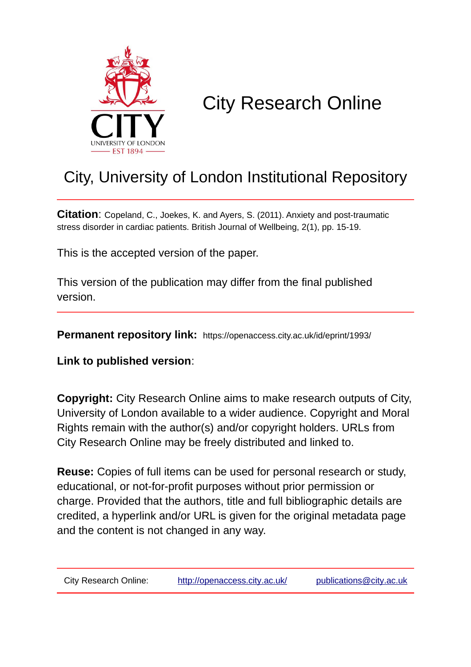

# City Research Online

## City, University of London Institutional Repository

**Citation**: Copeland, C., Joekes, K. and Ayers, S. (2011). Anxiety and post-traumatic stress disorder in cardiac patients. British Journal of Wellbeing, 2(1), pp. 15-19.

This is the accepted version of the paper.

This version of the publication may differ from the final published version.

**Permanent repository link:** https://openaccess.city.ac.uk/id/eprint/1993/

**Link to published version**:

**Copyright:** City Research Online aims to make research outputs of City, University of London available to a wider audience. Copyright and Moral Rights remain with the author(s) and/or copyright holders. URLs from City Research Online may be freely distributed and linked to.

**Reuse:** Copies of full items can be used for personal research or study, educational, or not-for-profit purposes without prior permission or charge. Provided that the authors, title and full bibliographic details are credited, a hyperlink and/or URL is given for the original metadata page and the content is not changed in any way.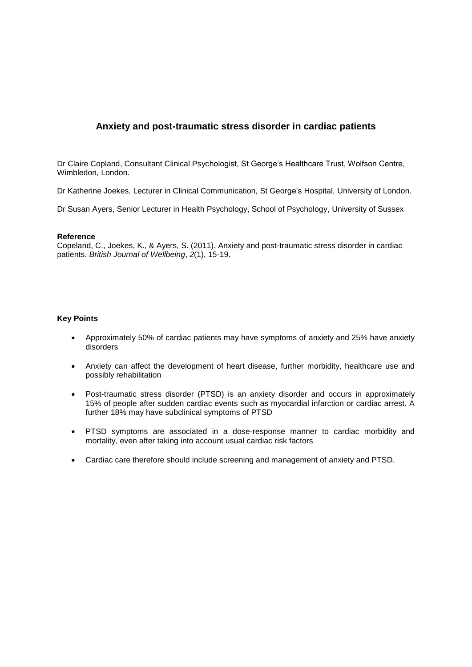### **Anxiety and post-traumatic stress disorder in cardiac patients**

Dr Claire Copland, Consultant Clinical Psychologist, St George's Healthcare Trust, Wolfson Centre, Wimbledon, London.

Dr Katherine Joekes, Lecturer in Clinical Communication, St George's Hospital, University of London.

Dr Susan Ayers, Senior Lecturer in Health Psychology, School of Psychology, University of Sussex

#### **Reference**

Copeland, C., Joekes, K., & Ayers, S. (2011). Anxiety and post-traumatic stress disorder in cardiac patients. *British Journal of Wellbeing*, *2*(1), 15-19.

#### **Key Points**

- Approximately 50% of cardiac patients may have symptoms of anxiety and 25% have anxiety disorders
- Anxiety can affect the development of heart disease, further morbidity, healthcare use and possibly rehabilitation
- Post-traumatic stress disorder (PTSD) is an anxiety disorder and occurs in approximately 15% of people after sudden cardiac events such as myocardial infarction or cardiac arrest. A further 18% may have subclinical symptoms of PTSD
- PTSD symptoms are associated in a dose-response manner to cardiac morbidity and mortality, even after taking into account usual cardiac risk factors
- Cardiac care therefore should include screening and management of anxiety and PTSD.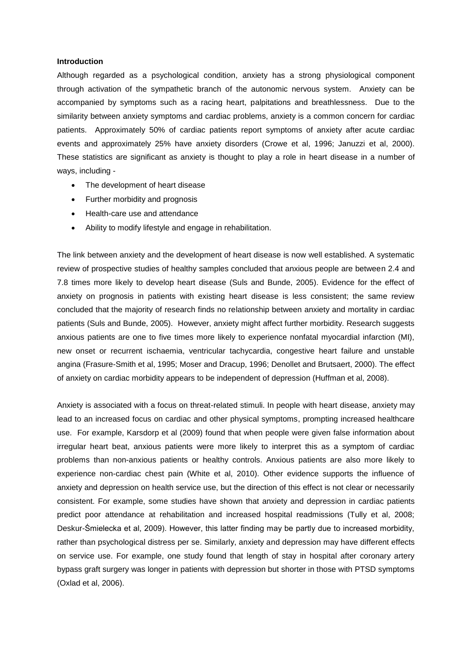#### **Introduction**

Although regarded as a psychological condition, anxiety has a strong physiological component through activation of the sympathetic branch of the autonomic nervous system. Anxiety can be accompanied by symptoms such as a racing heart, palpitations and breathlessness. Due to the similarity between anxiety symptoms and cardiac problems, anxiety is a common concern for cardiac patients. Approximately 50% of cardiac patients report symptoms of anxiety after acute cardiac events and approximately 25% have anxiety disorders (Crowe et al, 1996; Januzzi et al, 2000). These statistics are significant as anxiety is thought to play a role in heart disease in a number of ways, including -

- The development of heart disease
- Further morbidity and prognosis
- Health-care use and attendance
- Ability to modify lifestyle and engage in rehabilitation.

The link between anxiety and the development of heart disease is now well established. A systematic review of prospective studies of healthy samples concluded that anxious people are between 2.4 and 7.8 times more likely to develop heart disease (Suls and Bunde, 2005). Evidence for the effect of anxiety on prognosis in patients with existing heart disease is less consistent; the same review concluded that the majority of research finds no relationship between anxiety and mortality in cardiac patients (Suls and Bunde, 2005). However, anxiety might affect further morbidity. Research suggests anxious patients are one to five times more likely to experience nonfatal myocardial infarction (MI), new onset or recurrent ischaemia, ventricular tachycardia, congestive heart failure and unstable angina (Frasure-Smith et al, 1995; Moser and Dracup, 1996; Denollet and Brutsaert, 2000). The effect of anxiety on cardiac morbidity appears to be independent of depression (Huffman et al, 2008).

Anxiety is associated with a focus on threat-related stimuli. In people with heart disease, anxiety may lead to an increased focus on cardiac and other physical symptoms, prompting increased healthcare use. For example, Karsdorp et al (2009) found that when people were given false information about irregular heart beat, anxious patients were more likely to interpret this as a symptom of cardiac problems than non-anxious patients or healthy controls. Anxious patients are also more likely to experience non-cardiac chest pain (White et al, 2010). Other evidence supports the influence of anxiety and depression on health service use, but the direction of this effect is not clear or necessarily consistent. For example, some studies have shown that anxiety and depression in cardiac patients predict poor attendance at rehabilitation and increased hospital readmissions (Tully et al, 2008; Deskur-Śmielecka et al, 2009). However, this latter finding may be partly due to increased morbidity, rather than psychological distress per se. Similarly, anxiety and depression may have different effects on service use. For example, one study found that length of stay in hospital after coronary artery bypass graft surgery was longer in patients with depression but shorter in those with PTSD symptoms (Oxlad et al, 2006).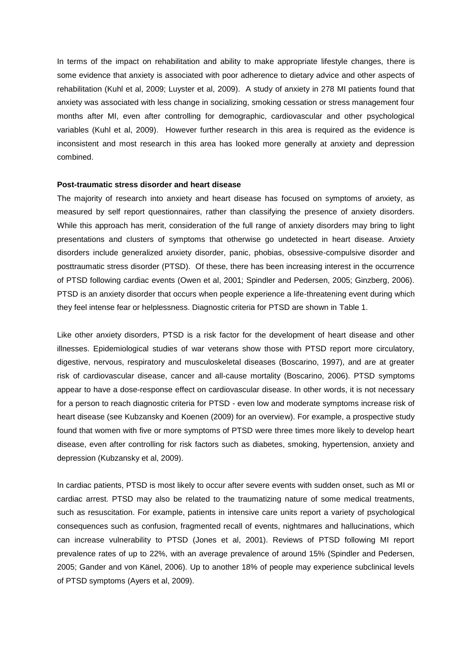In terms of the impact on rehabilitation and ability to make appropriate lifestyle changes, there is some evidence that anxiety is associated with poor adherence to dietary advice and other aspects of rehabilitation (Kuhl et al, 2009; Luyster et al, 2009). A study of anxiety in 278 MI patients found that anxiety was associated with less change in socializing, smoking cessation or stress management four months after MI, even after controlling for demographic, cardiovascular and other psychological variables (Kuhl et al, 2009). However further research in this area is required as the evidence is inconsistent and most research in this area has looked more generally at anxiety and depression combined.

#### **Post-traumatic stress disorder and heart disease**

The majority of research into anxiety and heart disease has focused on symptoms of anxiety, as measured by self report questionnaires, rather than classifying the presence of anxiety disorders. While this approach has merit, consideration of the full range of anxiety disorders may bring to light presentations and clusters of symptoms that otherwise go undetected in heart disease. Anxiety disorders include generalized anxiety disorder, panic, phobias, obsessive-compulsive disorder and posttraumatic stress disorder (PTSD). Of these, there has been increasing interest in the occurrence of PTSD following cardiac events (Owen et al, 2001; Spindler and Pedersen, 2005; Ginzberg, 2006). PTSD is an anxiety disorder that occurs when people experience a life-threatening event during which they feel intense fear or helplessness. Diagnostic criteria for PTSD are shown in Table 1.

Like other anxiety disorders, PTSD is a risk factor for the development of heart disease and other illnesses. Epidemiological studies of war veterans show those with PTSD report more circulatory, digestive, nervous, respiratory and musculoskeletal diseases (Boscarino, 1997), and are at greater risk of cardiovascular disease, cancer and all-cause mortality (Boscarino, 2006). PTSD symptoms appear to have a dose-response effect on cardiovascular disease. In other words, it is not necessary for a person to reach diagnostic criteria for PTSD - even low and moderate symptoms increase risk of heart disease (see Kubzansky and Koenen (2009) for an overview). For example, a prospective study found that women with five or more symptoms of PTSD were three times more likely to develop heart disease, even after controlling for risk factors such as diabetes, smoking, hypertension, anxiety and depression (Kubzansky et al, 2009).

In cardiac patients, PTSD is most likely to occur after severe events with sudden onset, such as MI or cardiac arrest. PTSD may also be related to the traumatizing nature of some medical treatments, such as resuscitation. For example, patients in intensive care units report a variety of psychological consequences such as confusion, fragmented recall of events, nightmares and hallucinations, which can increase vulnerability to PTSD (Jones et al, 2001). Reviews of PTSD following MI report prevalence rates of up to 22%, with an average prevalence of around 15% (Spindler and Pedersen, 2005; Gander and von Känel, 2006). Up to another 18% of people may experience subclinical levels of PTSD symptoms (Ayers et al, 2009).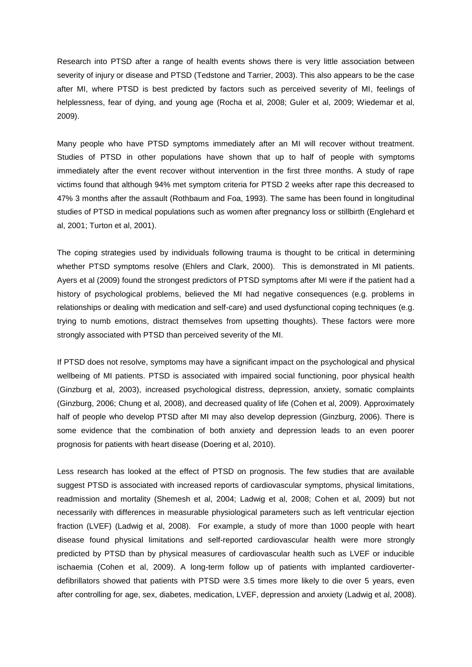Research into PTSD after a range of health events shows there is very little association between severity of injury or disease and PTSD (Tedstone and Tarrier, 2003). This also appears to be the case after MI, where PTSD is best predicted by factors such as perceived severity of MI, feelings of helplessness, fear of dying, and young age (Rocha et al, 2008; Guler et al, 2009; Wiedemar et al, 2009).

Many people who have PTSD symptoms immediately after an MI will recover without treatment. Studies of PTSD in other populations have shown that up to half of people with symptoms immediately after the event recover without intervention in the first three months. A study of rape victims found that although 94% met symptom criteria for PTSD 2 weeks after rape this decreased to 47% 3 months after the assault (Rothbaum and Foa, 1993). The same has been found in longitudinal studies of PTSD in medical populations such as women after pregnancy loss or stillbirth (Englehard et al, 2001; Turton et al, 2001).

The coping strategies used by individuals following trauma is thought to be critical in determining whether PTSD symptoms resolve (Ehlers and Clark, 2000). This is demonstrated in MI patients. Ayers et al (2009) found the strongest predictors of PTSD symptoms after MI were if the patient had a history of psychological problems, believed the MI had negative consequences (e.g. problems in relationships or dealing with medication and self-care) and used dysfunctional coping techniques (e.g. trying to numb emotions, distract themselves from upsetting thoughts). These factors were more strongly associated with PTSD than perceived severity of the MI.

If PTSD does not resolve, symptoms may have a significant impact on the psychological and physical wellbeing of MI patients. PTSD is associated with impaired social functioning, poor physical health (Ginzburg et al, 2003), increased psychological distress, depression, anxiety, somatic complaints (Ginzburg, 2006; Chung et al, 2008), and decreased quality of life (Cohen et al, 2009). Approximately half of people who develop PTSD after MI may also develop depression (Ginzburg, 2006). There is some evidence that the combination of both anxiety and depression leads to an even poorer prognosis for patients with heart disease (Doering et al, 2010).

Less research has looked at the effect of PTSD on prognosis. The few studies that are available suggest PTSD is associated with increased reports of cardiovascular symptoms, physical limitations, readmission and mortality (Shemesh et al, 2004; Ladwig et al, 2008; Cohen et al, 2009) but not necessarily with differences in measurable physiological parameters such as left ventricular ejection fraction (LVEF) (Ladwig et al, 2008). For example, a study of more than 1000 people with heart disease found physical limitations and self-reported cardiovascular health were more strongly predicted by PTSD than by physical measures of cardiovascular health such as LVEF or inducible ischaemia (Cohen et al, 2009). A long-term follow up of patients with implanted cardioverterdefibrillators showed that patients with PTSD were 3.5 times more likely to die over 5 years, even after controlling for age, sex, diabetes, medication, LVEF, depression and anxiety (Ladwig et al, 2008).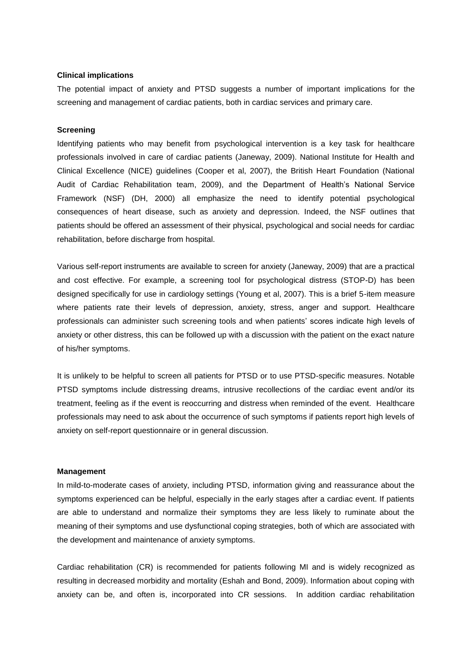#### **Clinical implications**

The potential impact of anxiety and PTSD suggests a number of important implications for the screening and management of cardiac patients, both in cardiac services and primary care.

#### **Screening**

Identifying patients who may benefit from psychological intervention is a key task for healthcare professionals involved in care of cardiac patients (Janeway, 2009). National Institute for Health and Clinical Excellence (NICE) guidelines (Cooper et al, 2007), the British Heart Foundation (National Audit of Cardiac Rehabilitation team, 2009), and the Department of Health's National Service Framework (NSF) (DH, 2000) all emphasize the need to identify potential psychological consequences of heart disease, such as anxiety and depression. Indeed, the NSF outlines that patients should be offered an assessment of their physical, psychological and social needs for cardiac rehabilitation, before discharge from hospital.

Various self-report instruments are available to screen for anxiety (Janeway, 2009) that are a practical and cost effective. For example, a screening tool for psychological distress (STOP-D) has been designed specifically for use in cardiology settings (Young et al, 2007). This is a brief 5-item measure where patients rate their levels of depression, anxiety, stress, anger and support. Healthcare professionals can administer such screening tools and when patients' scores indicate high levels of anxiety or other distress, this can be followed up with a discussion with the patient on the exact nature of his/her symptoms.

It is unlikely to be helpful to screen all patients for PTSD or to use PTSD-specific measures. Notable PTSD symptoms include distressing dreams, intrusive recollections of the cardiac event and/or its treatment, feeling as if the event is reoccurring and distress when reminded of the event. Healthcare professionals may need to ask about the occurrence of such symptoms if patients report high levels of anxiety on self-report questionnaire or in general discussion.

#### **Management**

In mild-to-moderate cases of anxiety, including PTSD, information giving and reassurance about the symptoms experienced can be helpful, especially in the early stages after a cardiac event. If patients are able to understand and normalize their symptoms they are less likely to ruminate about the meaning of their symptoms and use dysfunctional coping strategies, both of which are associated with the development and maintenance of anxiety symptoms.

Cardiac rehabilitation (CR) is recommended for patients following MI and is widely recognized as resulting in decreased morbidity and mortality (Eshah and Bond, 2009). Information about coping with anxiety can be, and often is, incorporated into CR sessions. In addition cardiac rehabilitation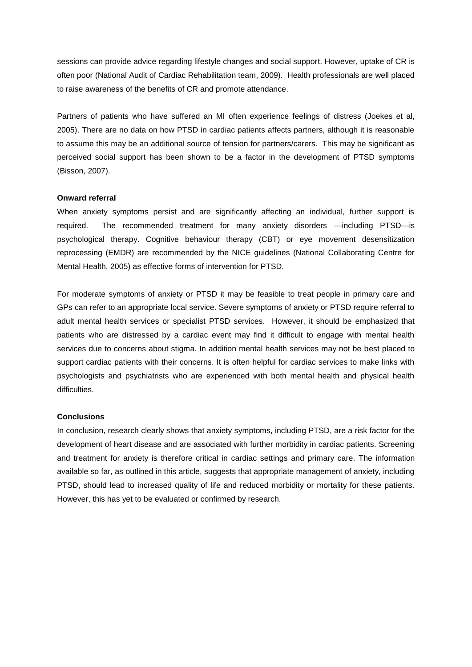sessions can provide advice regarding lifestyle changes and social support. However, uptake of CR is often poor (National Audit of Cardiac Rehabilitation team, 2009). Health professionals are well placed to raise awareness of the benefits of CR and promote attendance.

Partners of patients who have suffered an MI often experience feelings of distress (Joekes et al, 2005). There are no data on how PTSD in cardiac patients affects partners, although it is reasonable to assume this may be an additional source of tension for partners/carers. This may be significant as perceived social support has been shown to be a factor in the development of PTSD symptoms (Bisson, 2007).

#### **Onward referral**

When anxiety symptoms persist and are significantly affecting an individual, further support is required. The recommended treatment for many anxiety disorders —including PTSD—is psychological therapy. Cognitive behaviour therapy (CBT) or eye movement desensitization reprocessing (EMDR) are recommended by the NICE guidelines (National Collaborating Centre for Mental Health, 2005) as effective forms of intervention for PTSD.

For moderate symptoms of anxiety or PTSD it may be feasible to treat people in primary care and GPs can refer to an appropriate local service. Severe symptoms of anxiety or PTSD require referral to adult mental health services or specialist PTSD services. However, it should be emphasized that patients who are distressed by a cardiac event may find it difficult to engage with mental health services due to concerns about stigma. In addition mental health services may not be best placed to support cardiac patients with their concerns. It is often helpful for cardiac services to make links with psychologists and psychiatrists who are experienced with both mental health and physical health difficulties.

#### **Conclusions**

In conclusion, research clearly shows that anxiety symptoms, including PTSD, are a risk factor for the development of heart disease and are associated with further morbidity in cardiac patients. Screening and treatment for anxiety is therefore critical in cardiac settings and primary care. The information available so far, as outlined in this article, suggests that appropriate management of anxiety, including PTSD, should lead to increased quality of life and reduced morbidity or mortality for these patients. However, this has yet to be evaluated or confirmed by research.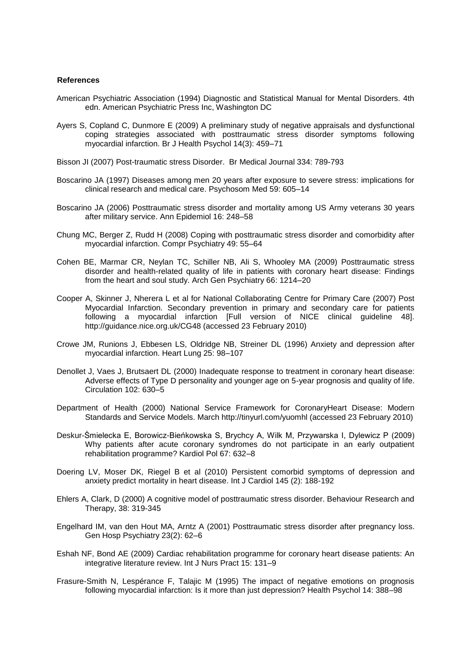#### **References**

- American Psychiatric Association (1994) Diagnostic and Statistical Manual for Mental Disorders. 4th edn. American Psychiatric Press Inc, Washington DC
- Ayers S, Copland C, Dunmore E (2009) A preliminary study of negative appraisals and dysfunctional coping strategies associated with posttraumatic stress disorder symptoms following myocardial infarction. Br J Health Psychol 14(3): 459–71
- Bisson JI (2007) Post-traumatic stress Disorder. Br Medical Journal 334: 789-793
- Boscarino JA (1997) Diseases among men 20 years after exposure to severe stress: implications for clinical research and medical care. Psychosom Med 59: 605–14
- Boscarino JA (2006) Posttraumatic stress disorder and mortality among US Army veterans 30 years after military service. Ann Epidemiol 16: 248–58
- Chung MC, Berger Z, Rudd H (2008) Coping with posttraumatic stress disorder and comorbidity after myocardial infarction. Compr Psychiatry 49: 55–64
- Cohen BE, Marmar CR, Neylan TC, Schiller NB, Ali S, Whooley MA (2009) Posttraumatic stress disorder and health-related quality of life in patients with coronary heart disease: Findings from the heart and soul study. Arch Gen Psychiatry 66: 1214–20
- Cooper A, Skinner J, Nherera L et al for National Collaborating Centre for Primary Care (2007) Post Myocardial Infarction. Secondary prevention in primary and secondary care for patients following a myocardial infarction [Full version of NICE clinical guideline 48]. http://guidance.nice.org.uk/CG48 (accessed 23 February 2010)
- Crowe JM, Runions J, Ebbesen LS, Oldridge NB, Streiner DL (1996) Anxiety and depression after myocardial infarction. Heart Lung 25: 98–107
- Denollet J, Vaes J, Brutsaert DL (2000) Inadequate response to treatment in coronary heart disease: Adverse effects of Type D personality and younger age on 5-year prognosis and quality of life. Circulation 102: 630–5
- Department of Health (2000) National Service Framework for CoronaryHeart Disease: Modern Standards and Service Models. March http://tinyurl.com/yuomhl (accessed 23 February 2010)
- Deskur-Śmielecka E, Borowicz-Bieńkowska S, Brychcy A, Wilk M, Przywarska I, Dylewicz P (2009) Why patients after acute coronary syndromes do not participate in an early outpatient rehabilitation programme? Kardiol Pol 67: 632–8
- Doering LV, Moser DK, Riegel B et al (2010) Persistent comorbid symptoms of depression and anxiety predict mortality in heart disease. Int J Cardiol 145 (2): 188-192
- Ehlers A, Clark, D (2000) A cognitive model of posttraumatic stress disorder. Behaviour Research and Therapy, 38: 319-345
- Engelhard IM, van den Hout MA, Arntz A (2001) Posttraumatic stress disorder after pregnancy loss. Gen Hosp Psychiatry 23(2): 62–6
- Eshah NF, Bond AE (2009) Cardiac rehabilitation programme for coronary heart disease patients: An integrative literature review. Int J Nurs Pract 15: 131–9
- Frasure-Smith N, Lespérance F, Talajic M (1995) The impact of negative emotions on prognosis following myocardial infarction: Is it more than just depression? Health Psychol 14: 388–98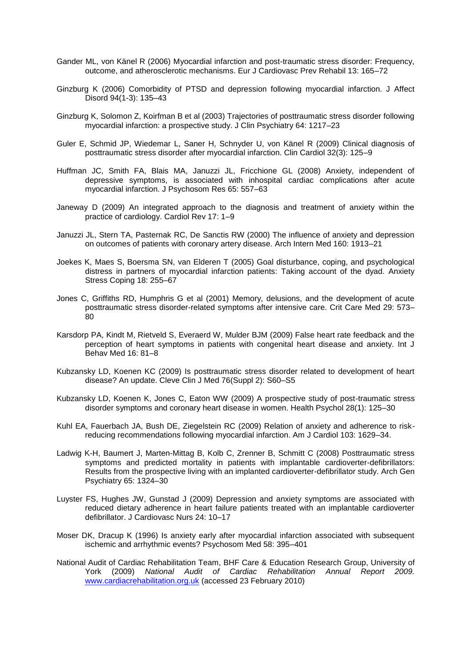- Gander ML, von Känel R (2006) Myocardial infarction and post-traumatic stress disorder: Frequency, outcome, and atherosclerotic mechanisms. Eur J Cardiovasc Prev Rehabil 13: 165–72
- Ginzburg K (2006) Comorbidity of PTSD and depression following myocardial infarction. J Affect Disord 94(1-3): 135–43
- Ginzburg K, Solomon Z, Koirfman B et al (2003) Trajectories of posttraumatic stress disorder following myocardial infarction: a prospective study. J Clin Psychiatry 64: 1217–23
- Guler E, Schmid JP, Wiedemar L, Saner H, Schnyder U, von Känel R (2009) Clinical diagnosis of posttraumatic stress disorder after myocardial infarction. Clin Cardiol 32(3): 125–9
- Huffman JC, Smith FA, Blais MA, Januzzi JL, Fricchione GL (2008) Anxiety, independent of depressive symptoms, is associated with inhospital cardiac complications after acute myocardial infarction. J Psychosom Res 65: 557–63
- Janeway D (2009) An integrated approach to the diagnosis and treatment of anxiety within the practice of cardiology. Cardiol Rev 17: 1–9
- Januzzi JL, Stern TA, Pasternak RC, De Sanctis RW (2000) The influence of anxiety and depression on outcomes of patients with coronary artery disease. Arch Intern Med 160: 1913–21
- Joekes K, Maes S, Boersma SN, van Elderen T (2005) Goal disturbance, coping, and psychological distress in partners of myocardial infarction patients: Taking account of the dyad. Anxiety Stress Coping 18: 255–67
- Jones C, Griffiths RD, Humphris G et al (2001) Memory, delusions, and the development of acute posttraumatic stress disorder-related symptoms after intensive care. Crit Care Med 29: 573– 80
- Karsdorp PA, Kindt M, Rietveld S, Everaerd W, Mulder BJM (2009) False heart rate feedback and the perception of heart symptoms in patients with congenital heart disease and anxiety. Int J Behav Med 16: 81–8
- Kubzansky LD, Koenen KC (2009) Is posttraumatic stress disorder related to development of heart disease? An update. Cleve Clin J Med 76(Suppl 2): S60–S5
- Kubzansky LD, Koenen K, Jones C, Eaton WW (2009) A prospective study of post-traumatic stress disorder symptoms and coronary heart disease in women. Health Psychol 28(1): 125–30
- Kuhl EA, Fauerbach JA, Bush DE, Ziegelstein RC (2009) Relation of anxiety and adherence to riskreducing recommendations following myocardial infarction. Am J Cardiol 103: 1629–34.
- Ladwig K-H, Baumert J, Marten-Mittag B, Kolb C, Zrenner B, Schmitt C (2008) Posttraumatic stress symptoms and predicted mortality in patients with implantable cardioverter-defibrillators: Results from the prospective living with an implanted cardioverter-defibrillator study. Arch Gen Psychiatry 65: 1324–30
- Luyster FS, Hughes JW, Gunstad J (2009) Depression and anxiety symptoms are associated with reduced dietary adherence in heart failure patients treated with an implantable cardioverter defibrillator. J Cardiovasc Nurs 24: 10-17
- Moser DK, Dracup K (1996) Is anxiety early after myocardial infarction associated with subsequent ischemic and arrhythmic events? Psychosom Med 58: 395–401
- National Audit of Cardiac Rehabilitation Team, BHF Care & Education Research Group, University of York (2009) *National Audit of Cardiac Rehabilitation Annual Report 2009.*  [www.cardiacrehabilitation.org.uk](http://www.cardiacrehabilitation.org.uk/) (accessed 23 February 2010)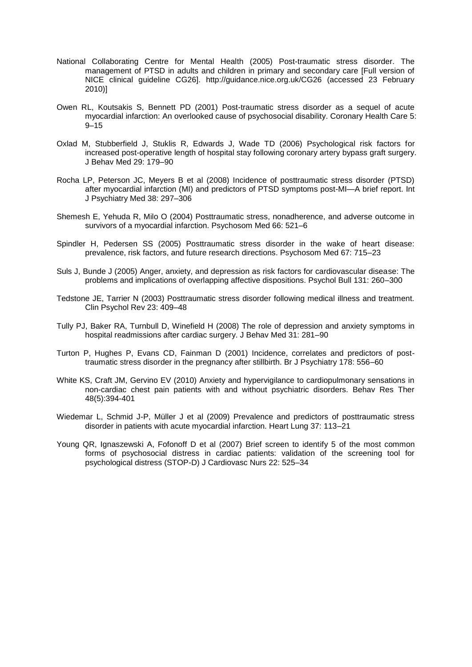- National Collaborating Centre for Mental Health (2005) Post-traumatic stress disorder. The management of PTSD in adults and children in primary and secondary care [Full version of NICE clinical guideline CG26]. http://guidance.nice.org.uk/CG26 (accessed 23 February 2010)]
- Owen RL, Koutsakis S, Bennett PD (2001) Post-traumatic stress disorder as a sequel of acute myocardial infarction: An overlooked cause of psychosocial disability. Coronary Health Care 5:  $9 - 15$
- Oxlad M, Stubberfield J, Stuklis R, Edwards J, Wade TD (2006) Psychological risk factors for increased post-operative length of hospital stay following coronary artery bypass graft surgery. J Behav Med 29: 179–90
- Rocha LP, Peterson JC, Meyers B et al (2008) Incidence of posttraumatic stress disorder (PTSD) after myocardial infarction (MI) and predictors of PTSD symptoms post-MI—A brief report. Int J Psychiatry Med 38: 297–306
- Shemesh E, Yehuda R, Milo O (2004) Posttraumatic stress, nonadherence, and adverse outcome in survivors of a myocardial infarction. Psychosom Med 66: 521–6
- Spindler H, Pedersen SS (2005) Posttraumatic stress disorder in the wake of heart disease: prevalence, risk factors, and future research directions. Psychosom Med 67: 715–23
- Suls J, Bunde J (2005) Anger, anxiety, and depression as risk factors for cardiovascular disease: The problems and implications of overlapping affective dispositions. Psychol Bull 131: 260–300
- Tedstone JE, Tarrier N (2003) Posttraumatic stress disorder following medical illness and treatment. Clin Psychol Rev 23: 409–48
- Tully PJ, Baker RA, Turnbull D, Winefield H (2008) The role of depression and anxiety symptoms in hospital readmissions after cardiac surgery. J Behav Med 31: 281–90
- Turton P, Hughes P, Evans CD, Fainman D (2001) Incidence, correlates and predictors of posttraumatic stress disorder in the pregnancy after stillbirth. Br J Psychiatry 178: 556–60
- White KS, Craft JM, Gervino EV (2010) Anxiety and hypervigilance to cardiopulmonary sensations in non-cardiac chest pain patients with and without psychiatric disorders. Behav Res Ther 48(5):394-401
- Wiedemar L, Schmid J-P, Müller J et al (2009) Prevalence and predictors of posttraumatic stress disorder in patients with acute myocardial infarction. Heart Lung 37: 113–21
- Young QR, Ignaszewski A, Fofonoff D et al (2007) Brief screen to identify 5 of the most common forms of psychosocial distress in cardiac patients: validation of the screening tool for psychological distress (STOP-D) J Cardiovasc Nurs 22: 525–34